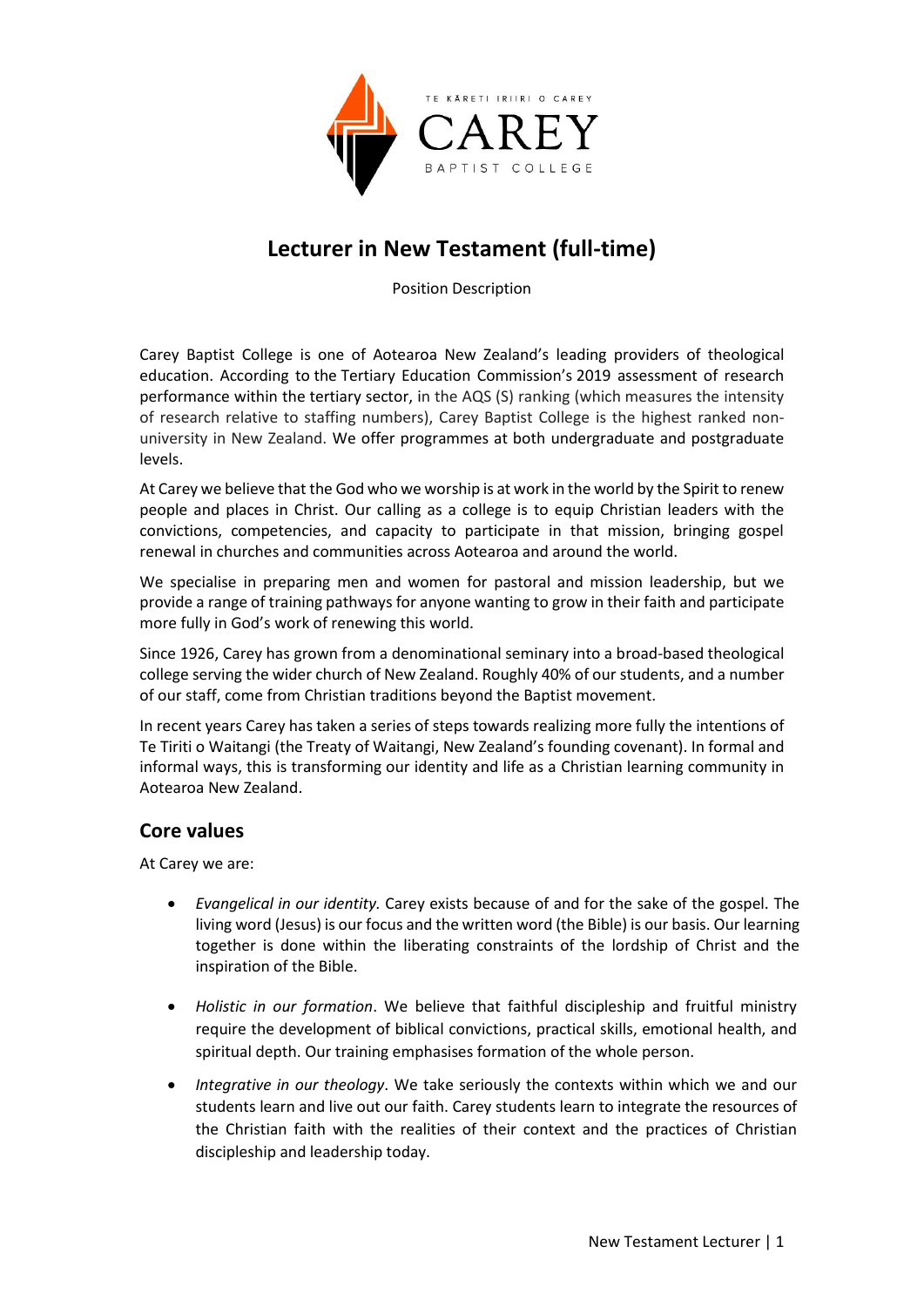

# **Lecturer in New Testament (full-time)**

Position Description

Carey Baptist College is one of Aotearoa New Zealand's leading providers of theological education. According to the Tertiary Education Commission's 2019 assessment of research performance within the tertiary sector, in the AQS (S) ranking (which measures the intensity of research relative to staffing numbers), Carey Baptist College is the highest ranked nonuniversity in New Zealand. We offer programmes at both undergraduate and postgraduate levels.

At Carey we believe that the God who we worship is at work in the world by the Spirit to renew people and places in Christ. Our calling as a college is to equip Christian leaders with the convictions, competencies, and capacity to participate in that mission, bringing gospel renewal in churches and communities across Aotearoa and around the world.

We specialise in preparing men and women for pastoral and mission leadership, but we provide a range of training pathways for anyone wanting to grow in their faith and participate more fully in God's work of renewing this world.

Since 1926, Carey has grown from a denominational seminary into a broad-based theological college serving the wider church of New Zealand. Roughly 40% of our students, and a number of our staff, come from Christian traditions beyond the Baptist movement.

In recent years Carey has taken a series of steps towards realizing more fully the intentions of Te Tiriti o Waitangi (the Treaty of Waitangi, New Zealand's founding covenant). In formal and informal ways, this is transforming our identity and life as a Christian learning community in Aotearoa New Zealand.

## **Core values**

At Carey we are:

- *Evangelical in our identity.* Carey exists because of and for the sake of the gospel. The living word (Jesus) is our focus and the written word (the Bible) is our basis. Our learning together is done within the liberating constraints of the lordship of Christ and the inspiration of the Bible.
- *Holistic in our formation*. We believe that faithful discipleship and fruitful ministry require the development of biblical convictions, practical skills, emotional health, and spiritual depth. Our training emphasises formation of the whole person.
- *Integrative in our theology*. We take seriously the contexts within which we and our students learn and live out our faith. Carey students learn to integrate the resources of the Christian faith with the realities of their context and the practices of Christian discipleship and leadership today.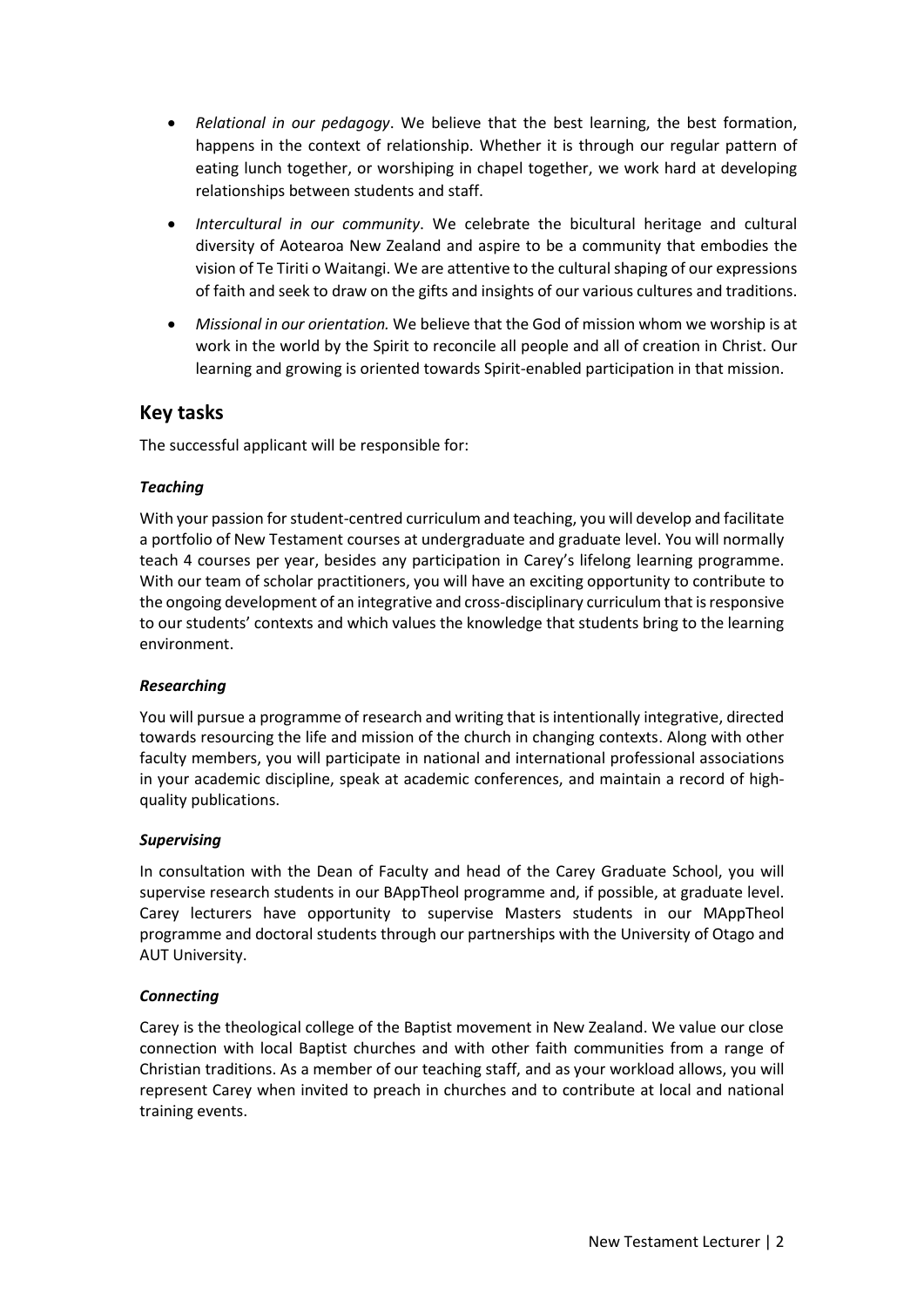- *Relational in our pedagogy*. We believe that the best learning, the best formation, happens in the context of relationship. Whether it is through our regular pattern of eating lunch together, or worshiping in chapel together, we work hard at developing relationships between students and staff.
- *Intercultural in our community*. We celebrate the bicultural heritage and cultural diversity of Aotearoa New Zealand and aspire to be a community that embodies the vision of Te Tiriti o Waitangi. We are attentive to the cultural shaping of our expressions of faith and seek to draw on the gifts and insights of our various cultures and traditions.
- *Missional in our orientation.* We believe that the God of mission whom we worship is at work in the world by the Spirit to reconcile all people and all of creation in Christ. Our learning and growing is oriented towards Spirit-enabled participation in that mission.

## **Key tasks**

The successful applicant will be responsible for:

#### *Teaching*

With your passion for student-centred curriculum and teaching, you will develop and facilitate a portfolio of New Testament courses at undergraduate and graduate level. You will normally teach 4 courses per year, besides any participation in Carey's lifelong learning programme. With our team of scholar practitioners, you will have an exciting opportunity to contribute to the ongoing development of an integrative and cross-disciplinary curriculum that is responsive to our students' contexts and which values the knowledge that students bring to the learning environment.

#### *Researching*

You will pursue a programme of research and writing that is intentionally integrative, directed towards resourcing the life and mission of the church in changing contexts. Along with other faculty members, you will participate in national and international professional associations in your academic discipline, speak at academic conferences, and maintain a record of highquality publications.

#### *Supervising*

In consultation with the Dean of Faculty and head of the Carey Graduate School, you will supervise research students in our BAppTheol programme and, if possible, at graduate level. Carey lecturers have opportunity to supervise Masters students in our MAppTheol programme and doctoral students through our partnerships with the University of Otago and AUT University.

#### *Connecting*

Carey is the theological college of the Baptist movement in New Zealand. We value our close connection with local Baptist churches and with other faith communities from a range of Christian traditions. As a member of our teaching staff, and as your workload allows, you will represent Carey when invited to preach in churches and to contribute at local and national training events.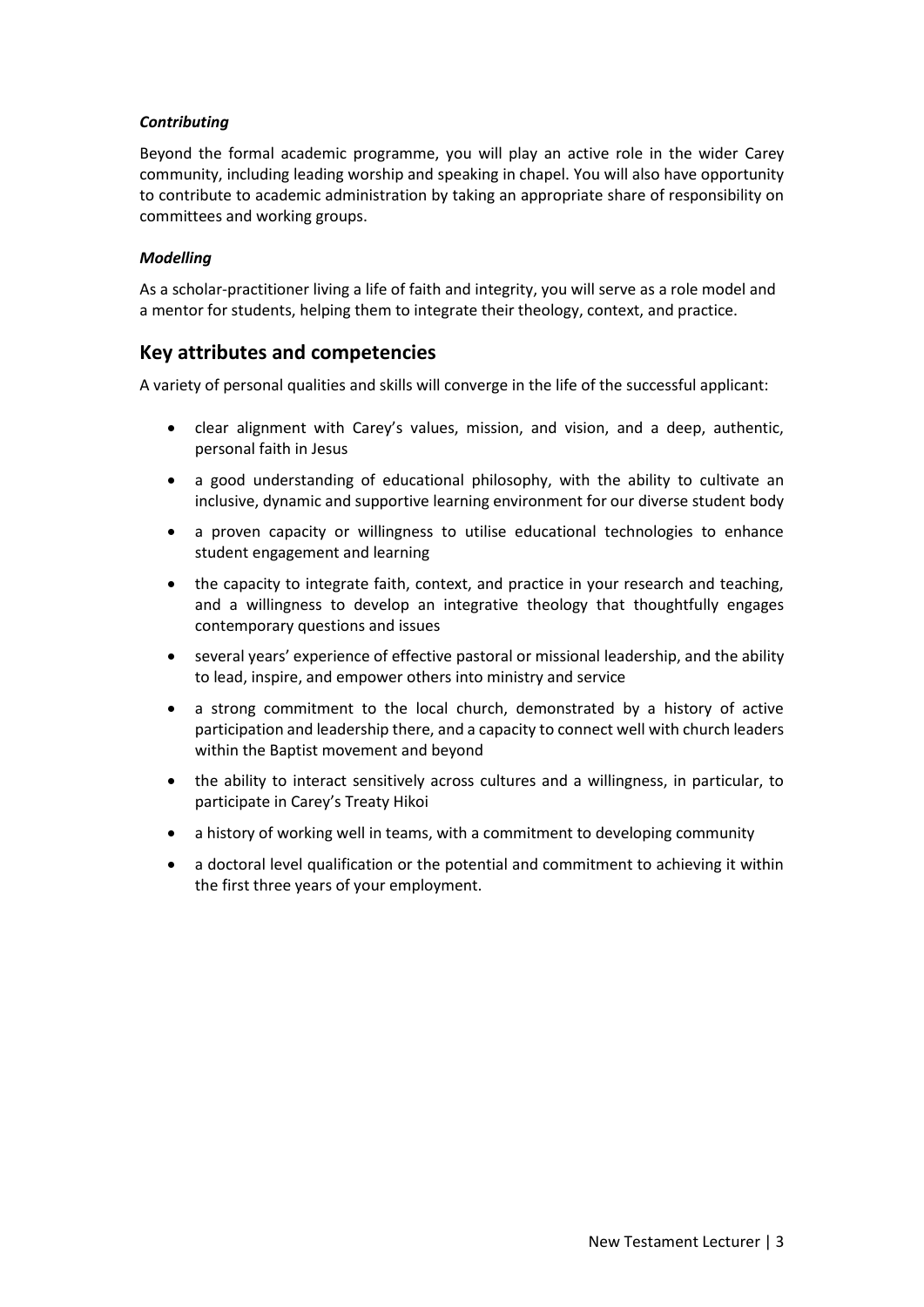#### *Contributing*

Beyond the formal academic programme, you will play an active role in the wider Carey community, including leading worship and speaking in chapel. You will also have opportunity to contribute to academic administration by taking an appropriate share of responsibility on committees and working groups.

#### *Modelling*

As a scholar-practitioner living a life of faith and integrity, you will serve as a role model and a mentor for students, helping them to integrate their theology, context, and practice.

## **Key attributes and competencies**

A variety of personal qualities and skills will converge in the life of the successful applicant:

- clear alignment with Carey's values, mission, and vision, and a deep, authentic, personal faith in Jesus
- a good understanding of educational philosophy, with the ability to cultivate an inclusive, dynamic and supportive learning environment for our diverse student body
- a proven capacity or willingness to utilise educational technologies to enhance student engagement and learning
- the capacity to integrate faith, context, and practice in your research and teaching, and a willingness to develop an integrative theology that thoughtfully engages contemporary questions and issues
- several years' experience of effective pastoral or missional leadership, and the ability to lead, inspire, and empower others into ministry and service
- a strong commitment to the local church, demonstrated by a history of active participation and leadership there, and a capacity to connect well with church leaders within the Baptist movement and beyond
- the ability to interact sensitively across cultures and a willingness, in particular, to participate in Carey's Treaty Hikoi
- a history of working well in teams, with a commitment to developing community
- a doctoral level qualification or the potential and commitment to achieving it within the first three years of your employment.